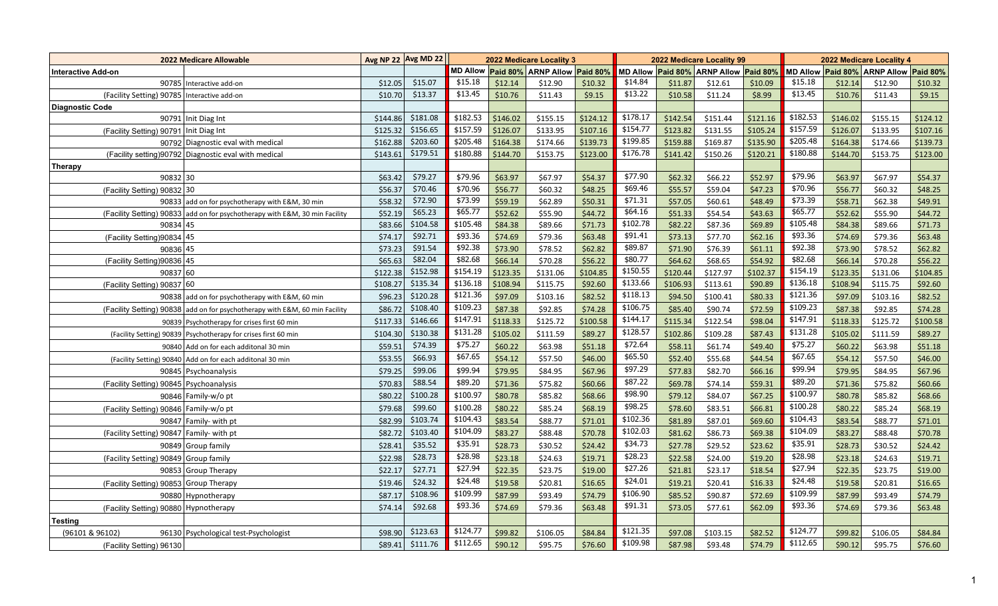| <b>2022 Medicare Allowable</b>                |                                                                             |          | Avg NP 22 Avg MD 22 | 2022 Medicare Locality 3 |          |                              |          |          |          | 2022 Medicare Locality 99             |          | 2022 Medicare Locality 4 |          |                                       |          |  |
|-----------------------------------------------|-----------------------------------------------------------------------------|----------|---------------------|--------------------------|----------|------------------------------|----------|----------|----------|---------------------------------------|----------|--------------------------|----------|---------------------------------------|----------|--|
| <b>Interactive Add-on</b>                     |                                                                             |          |                     | <b>MD Allow</b>          |          | Paid 80% ARNP Allow Paid 80% |          |          |          | MD Allow Paid 80% ARNP Allow Paid 80% |          |                          |          | MD Allow Paid 80% ARNP Allow Paid 80% |          |  |
|                                               | 90785 Interactive add-on                                                    | \$12.05  | \$15.07             | \$15.18                  | \$12.14  | \$12.90                      | \$10.32  | \$14.84  | \$11.87  | \$12.61                               | \$10.09  | \$15.18                  | \$12.14  | \$12.90                               | \$10.32  |  |
| (Facility Setting) 90785   Interactive add-on |                                                                             | \$10.70  | \$13.37             | \$13.45                  | \$10.76  | \$11.43                      | \$9.15   | \$13.22  | \$10.58  | \$11.24                               | \$8.99   | \$13.45                  | \$10.76  | \$11.43                               | \$9.15   |  |
| <b>Diagnostic Code</b>                        |                                                                             |          |                     |                          |          |                              |          |          |          |                                       |          |                          |          |                                       |          |  |
|                                               | 90791 Init Diag Int                                                         | \$144.86 | \$181.08            | \$182.53                 | \$146.02 | \$155.15                     | \$124.12 | \$178.17 | \$142.54 | \$151.44                              | \$121.16 | \$182.53                 | \$146.02 | \$155.15                              | \$124.12 |  |
| (Facility Setting) 90791 Init Diag Int        |                                                                             | \$125.32 | \$156.65            | \$157.59                 | \$126.07 | \$133.95                     | \$107.16 | \$154.77 | \$123.82 | \$131.55                              | \$105.24 | \$157.59                 | \$126.07 | \$133.95                              | \$107.16 |  |
|                                               | 90792 Diagnostic eval with medical                                          | \$162.88 | \$203.60            | \$205.48                 | \$164.38 | \$174.66                     | \$139.73 | \$199.85 | \$159.88 | \$169.87                              | \$135.90 | \$205.48                 | \$164.38 | \$174.66                              | \$139.73 |  |
|                                               | (Facility setting)90792 Diagnostic eval with medical                        | \$143.61 | \$179.51            | \$180.88                 | \$144.70 | \$153.75                     | \$123.00 | \$176.78 | \$141.42 | \$150.26                              | \$120.21 | \$180.88                 | \$144.70 | \$153.75                              | \$123.00 |  |
| <b>Therapy</b>                                |                                                                             |          |                     |                          |          |                              |          |          |          |                                       |          |                          |          |                                       |          |  |
| 90832 30                                      |                                                                             | \$63.42  | \$79.27             | \$79.96                  | \$63.97  | \$67.97                      | \$54.37  | \$77.90  | \$62.32  | \$66.22                               | \$52.97  | \$79.96                  | \$63.97  | \$67.97                               | \$54.37  |  |
| (Facility Setting) 90832 30                   |                                                                             | \$56.37  | \$70.46             | \$70.96                  | \$56.77  | \$60.32                      | \$48.25  | \$69.46  | \$55.57  | \$59.04                               | \$47.23  | \$70.96                  | \$56.77  | \$60.32                               | \$48.25  |  |
|                                               | 90833 add on for psychotherapy with E&M, 30 min                             | \$58.32  | \$72.90             | \$73.99                  | \$59.19  | \$62.89                      | \$50.31  | \$71.31  | \$57.05  | \$60.61                               | \$48.49  | \$73.39                  | \$58.71  | \$62.38                               | \$49.91  |  |
|                                               | (Facility Setting) 90833 add on for psychotherapy with E&M, 30 min Facility | \$52.19  | \$65.23             | \$65.77                  | \$52.62  | \$55.90                      | \$44.72  | \$64.16  | \$51.33  | \$54.54                               | \$43.63  | \$65.77                  | \$52.62  | \$55.90                               | \$44.72  |  |
| 90834 45                                      |                                                                             | \$83.66  | \$104.58            | \$105.48                 | \$84.38  | \$89.66                      | \$71.73  | \$102.78 | \$82.22  | \$87.36                               | \$69.89  | \$105.48                 | \$84.38  | \$89.66                               | \$71.73  |  |
| (Facility Setting)90834 45                    |                                                                             | \$74.17  | \$92.71             | \$93.36                  | \$74.69  | \$79.36                      | \$63.48  | \$91.41  | \$73.13  | \$77.70                               | \$62.16  | \$93.36                  | \$74.69  | \$79.36                               | \$63.48  |  |
| 90836 45                                      |                                                                             | \$73.23  | \$91.54             | \$92.38                  | \$73.90  | \$78.52                      | \$62.82  | \$89.87  | \$71.90  | \$76.39                               | \$61.11  | \$92.38                  | \$73.90  | \$78.52                               | \$62.82  |  |
| (Facility Setting)90836 45                    |                                                                             | \$65.63  | \$82.04             | \$82.68                  | \$66.14  | \$70.28                      | \$56.22  | \$80.77  | \$64.62  | \$68.65                               | \$54.92  | \$82.68                  | \$66.14  | \$70.28                               | \$56.22  |  |
| 90837 60                                      |                                                                             | \$122.38 | \$152.98            | \$154.19                 | \$123.35 | \$131.06                     | \$104.85 | \$150.55 | \$120.44 | \$127.97                              | \$102.37 | \$154.19                 | \$123.35 | \$131.06                              | \$104.85 |  |
| (Facility Setting) 90837 60                   |                                                                             | \$108.27 | \$135.34            | \$136.18                 | \$108.94 | \$115.75                     | \$92.60  | \$133.66 | \$106.93 | \$113.61                              | \$90.89  | \$136.18                 | \$108.94 | \$115.75                              | \$92.60  |  |
|                                               | 90838 add on for psychotherapy with E&M, 60 min                             | \$96.23  | \$120.28            | \$121.36                 | \$97.09  | \$103.16                     | \$82.52  | \$118.13 | \$94.50  | \$100.41                              | \$80.33  | \$121.36                 | \$97.09  | \$103.16                              | \$82.52  |  |
|                                               | (Facility Setting) 90838 add on for psychotherapy with E&M, 60 min Facility | \$86.72  | \$108.40            | \$109.23                 | \$87.38  | \$92.85                      | \$74.28  | \$106.75 | \$85.40  | \$90.74                               | \$72.59  | \$109.23                 | \$87.38  | \$92.85                               | \$74.28  |  |
|                                               | 90839 Psychotherapy for crises first 60 min                                 | \$117.33 | \$146.66            | \$147.91                 | \$118.33 | \$125.72                     | \$100.58 | \$144.17 | \$115.34 | \$122.54                              | \$98.04  | \$147.91                 | \$118.33 | \$125.72                              | \$100.58 |  |
|                                               | (Facility Setting) 90839 Psychotherapy for crises first 60 min              | \$104.30 | \$130.38            | \$131.28                 | \$105.02 | \$111.59                     | \$89.27  | \$128.57 | \$102.86 | \$109.28                              | \$87.43  | \$131.28                 | \$105.02 | \$111.59                              | \$89.27  |  |
|                                               | 90840 Add on for each additonal 30 min                                      | \$59.51  | \$74.39             | \$75.27                  | \$60.22  | \$63.98                      | \$51.18  | \$72.64  | \$58.11  | \$61.74                               | \$49.40  | \$75.27                  | \$60.22  | \$63.98                               | \$51.18  |  |
|                                               | (Facility Setting) 90840 Add on for each additonal 30 min                   | \$53.55  | \$66.93             | \$67.65                  | \$54.12  | \$57.50                      | \$46.00  | \$65.50  | \$52.40  | \$55.68                               | \$44.54  | \$67.65                  | \$54.12  | \$57.50                               | \$46.00  |  |
|                                               | 90845   Psychoanalysis                                                      | \$79.25  | \$99.06             | \$99.94                  | \$79.95  | \$84.95                      | \$67.96  | \$97.29  | \$77.83  | \$82.70                               | \$66.16  | \$99.94                  | \$79.95  | \$84.95                               | \$67.96  |  |
| (Facility Setting) 90845 Psychoanalysis       |                                                                             | \$70.83  | \$88.54             | \$89.20                  | \$71.36  | \$75.82                      | \$60.66  | \$87.22  | \$69.78  | \$74.14                               | \$59.31  | \$89.20                  | \$71.36  | \$75.82                               | \$60.66  |  |
|                                               | 90846 Family-w/o pt                                                         | \$80.22  | \$100.28            | \$100.97                 | \$80.78  | \$85.82                      | \$68.66  | \$98.90  | \$79.12  | \$84.07                               | \$67.25  | \$100.97                 | \$80.78  | \$85.82                               | \$68.66  |  |
| (Facility Setting) 90846 Family-w/o pt        |                                                                             | \$79.68  | \$99.60             | \$100.28                 | \$80.22  | \$85.24                      | \$68.19  | \$98.25  | \$78.60  | \$83.51                               | \$66.81  | \$100.28                 | \$80.22  | \$85.24                               | \$68.19  |  |
|                                               | 90847   Family- with pt                                                     | \$82.99  | \$103.74            | \$104.43                 | \$83.54  | \$88.77                      | \$71.01  | \$102.36 | \$81.89  | \$87.01                               | \$69.60  | \$104.43                 | \$83.54  | \$88.77                               | \$71.01  |  |
| (Facility Setting) 90847 Family- with pt      |                                                                             | \$82.72  | \$103.40            | \$104.09                 | \$83.27  | \$88.48                      | \$70.78  | \$102.03 | \$81.62  | \$86.73                               | \$69.38  | \$104.09                 | \$83.27  | \$88.48                               | \$70.78  |  |
|                                               | 90849 Group family                                                          | \$28.41  | \$35.52             | \$35.91                  | \$28.73  | \$30.52                      | \$24.42  | \$34.73  | \$27.78  | \$29.52                               | \$23.62  | \$35.91                  | \$28.73  | \$30.52                               | \$24.42  |  |
| (Facility Setting) 90849 Group family         |                                                                             | \$22.98  | \$28.73             | \$28.98                  | \$23.18  | \$24.63                      | \$19.71  | \$28.23  | \$22.58  | \$24.00                               | \$19.20  | \$28.98                  | \$23.18  | \$24.63                               | \$19.71  |  |
|                                               | 90853 Group Therapy                                                         | \$22.17  | \$27.71             | \$27.94                  | \$22.35  | \$23.75                      | \$19.00  | \$27.26  | \$21.81  | \$23.17                               | \$18.54  | \$27.94                  | \$22.35  | \$23.75                               | \$19.00  |  |
| (Facility Setting) 90853 Group Therapy        |                                                                             | \$19.46  | \$24.32             | \$24.48                  | \$19.58  | \$20.81                      | \$16.65  | \$24.01  | \$19.21  | \$20.41                               | \$16.33  | \$24.48                  | \$19.58  | \$20.81                               | \$16.65  |  |
|                                               | 90880 Hypnotherapy                                                          | \$87.17  | \$108.96            | \$109.99                 | \$87.99  | \$93.49                      | \$74.79  | \$106.90 | \$85.52  | \$90.87                               | \$72.69  | \$109.99                 | \$87.99  | \$93.49                               | \$74.79  |  |
|                                               |                                                                             | \$74.14  | \$92.68             | \$93.36                  | \$74.69  |                              |          | \$91.31  | \$73.05  | \$77.61                               |          | \$93.36                  |          | \$79.36                               | \$63.48  |  |
| (Facility Setting) 90880 Hypnotherapy         |                                                                             |          |                     |                          |          | \$79.36                      | \$63.48  |          |          |                                       | \$62.09  |                          | \$74.69  |                                       |          |  |
| <b>Testing</b>                                |                                                                             |          | \$123.63            | \$124.77                 |          |                              |          | \$121.35 |          |                                       |          | \$124.77                 |          |                                       |          |  |
| (96101 & 96102)                               | 96130 Psychological test-Psychologist                                       | \$98.90  |                     | \$112.65                 | \$99.82  | \$106.05                     | \$84.84  | \$109.98 | \$97.08  | \$103.15                              | \$82.52  | \$112.65                 | \$99.82  | \$106.05                              | \$84.84  |  |
| (Facility Setting) 96130                      |                                                                             | \$89.41  | \$111.76            |                          | \$90.12  | \$95.75                      | \$76.60  |          | \$87.98  | \$93.48                               | \$74.79  |                          | \$90.12  | \$95.75                               | \$76.60  |  |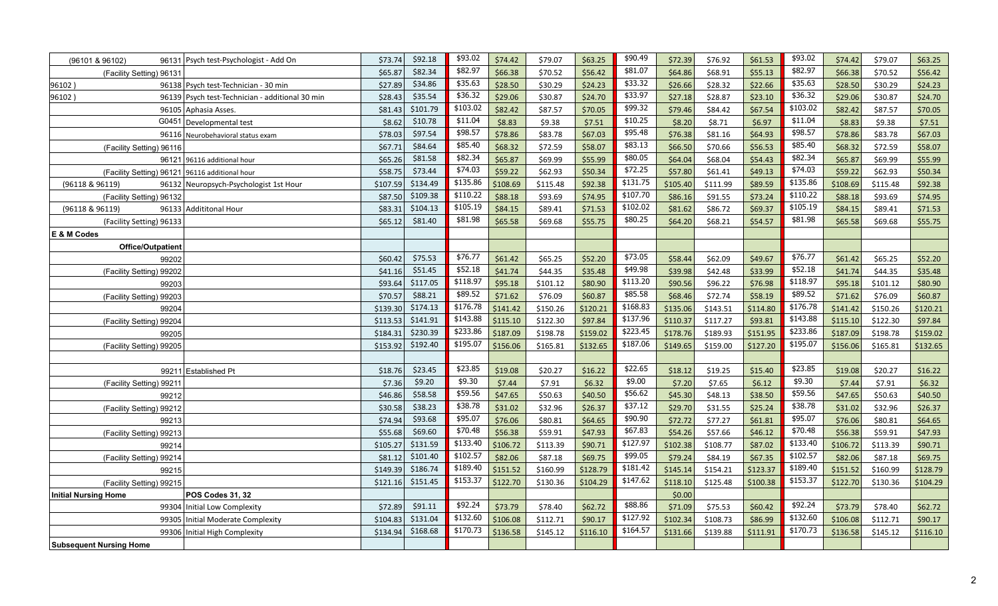| (96101 & 96102)<br>96131       | Psych test-Psychologist - Add On                | \$92.18<br>\$73.74   | \$93.02          | \$74.42  | \$79.07  | \$63.25  | \$90.49         | \$72.39  | \$76.92  | \$61.53  | \$93.02  | \$74.42  | \$79.07  | \$63.25  |
|--------------------------------|-------------------------------------------------|----------------------|------------------|----------|----------|----------|-----------------|----------|----------|----------|----------|----------|----------|----------|
| (Facility Setting) 96131       |                                                 | \$82.34<br>\$65.87   | \$82.97          | \$66.38  | \$70.52  | \$56.42  | \$81.07         | \$64.86  | \$68.91  | \$55.13  | \$82.97  | \$66.38  | \$70.52  | \$56.42  |
| 96102)                         | 96138 Psych test-Technician - 30 min            | \$34.86<br>\$27.89   | \$35.63          | \$28.50  | \$30.29  | \$24.23  | $\sqrt{$33.32}$ | \$26.66  | \$28.32  | \$22.66  | \$35.63  | \$28.50  | \$30.29  | \$24.23  |
| 96102)                         | 96139 Psych test-Technician - additional 30 min | \$35.54<br>\$28.43   | \$36.32          | \$29.06  | \$30.87  | \$24.70  | \$33.97         | \$27.18  | \$28.87  | \$23.10  | \$36.32  | \$29.06  | \$30.87  | \$24.70  |
|                                | 96105 Aphasia Asses.                            | \$101.79<br>\$81.43  | \$103.02         | \$82.42  | \$87.57  | \$70.05  | \$99.32         | \$79.46  | \$84.42  | \$67.54  | \$103.02 | \$82.42  | \$87.57  | \$70.05  |
| G0451                          | Developmental test                              | \$10.78<br>\$8.62    | \$11.04          | \$8.83   | \$9.38   | \$7.51   | \$10.25         | \$8.20   | \$8.71   | \$6.97   | \$11.04  | \$8.83   | \$9.38   | \$7.51   |
| 96116                          | Neurobehavioral status exam                     | \$97.54<br>\$78.03   | \$98.57          | \$78.86  | \$83.78  | \$67.03  | \$95.48         | \$76.38  | \$81.16  | \$64.93  | \$98.57  | \$78.86  | \$83.78  | \$67.03  |
| (Facility Setting) 96116       |                                                 | \$84.64<br>\$67.71   | \$85.40          | \$68.32  | \$72.59  | \$58.07  | \$83.13         | \$66.50  | \$70.66  | \$56.53  | \$85.40  | \$68.32  | \$72.59  | \$58.07  |
| 96121                          | 96116 additional hour                           | \$81.58<br>\$65.26   | \$82.34          | \$65.87  | \$69.99  | \$55.99  | \$80.05         | \$64.04  | \$68.04  | \$54.43  | \$82.34  | \$65.87  | \$69.99  | \$55.99  |
| (Facility Setting) 96121       | 96116 additional hour                           | \$73.44<br>\$58.75   | \$74.03          | \$59.22  | \$62.93  | \$50.34  | \$72.25         | \$57.80  | \$61.41  | \$49.13  | \$74.03  | \$59.22  | \$62.93  | \$50.34  |
| (96118 & 96119)                | 96132 Neuropsych-Psychologist 1st Hour          | \$134.49<br>\$107.59 | \$135.86         | \$108.69 | \$115.48 | \$92.38  | \$131.75        | \$105.40 | \$111.99 | \$89.59  | \$135.86 | \$108.69 | \$115.48 | \$92.38  |
| (Facility Setting) 96132       |                                                 | \$109.38<br>\$87.50  | \$110.22         | \$88.18  | \$93.69  | \$74.95  | \$107.70        | \$86.16  | \$91.55  | \$73.24  | \$110.22 | \$88.18  | \$93.69  | \$74.95  |
| (96118 & 96119)                | 96133 Addititonal Hour                          | \$104.13<br>\$83.31  | \$105.19         | \$84.15  | \$89.41  | \$71.53  | \$102.02        | \$81.62  | \$86.72  | \$69.37  | \$105.19 | \$84.15  | \$89.41  | \$71.53  |
| (Facility Setting) 96133       |                                                 | \$81.40<br>\$65.12   | \$81.98          | \$65.58  | \$69.68  | \$55.75  | \$80.25         | \$64.20  | \$68.21  | \$54.57  | \$81.98  | \$65.58  | \$69.68  | \$55.75  |
| E & M Codes                    |                                                 |                      |                  |          |          |          |                 |          |          |          |          |          |          |          |
| <b>Office/Outpatient</b>       |                                                 |                      |                  |          |          |          |                 |          |          |          |          |          |          |          |
| 99202                          |                                                 | \$75.53<br>\$60.42   | \$76.77          | \$61.42  | \$65.25  | \$52.20  | \$73.05         | \$58.44  | \$62.09  | \$49.67  | \$76.77  | \$61.42  | \$65.25  | \$52.20  |
| (Facility Setting) 99202       |                                                 | \$51.45<br>\$41.16   | \$52.18          | \$41.74  | \$44.35  | \$35.48  | \$49.98         | \$39.98  | \$42.48  | \$33.99  | \$52.18  | \$41.74  | \$44.35  | \$35.48  |
| 99203                          |                                                 | \$117.05<br>\$93.64  | $\sqrt{$118.97}$ | \$95.18  | \$101.12 | \$80.90  | \$113.20        | \$90.56  | \$96.22  | \$76.98  | \$118.97 | \$95.18  | \$101.12 | \$80.90  |
| (Facility Setting) 99203       |                                                 | \$88.21<br>\$70.57   | \$89.52          | \$71.62  | \$76.09  | \$60.87  | \$85.58         | \$68.46  | \$72.74  | \$58.19  | \$89.52  | \$71.62  | \$76.09  | \$60.87  |
| 99204                          |                                                 | \$174.13<br>\$139.30 | \$176.78         | \$141.42 | \$150.26 | \$120.21 | \$168.83        | \$135.06 | \$143.51 | \$114.80 | \$176.78 | \$141.42 | \$150.26 | \$120.21 |
| (Facility Setting) 99204       |                                                 | \$141.91<br>\$113.53 | \$143.88         | \$115.10 | \$122.30 | \$97.84  | \$137.96        | \$110.37 | \$117.27 | \$93.81  | \$143.88 | \$115.10 | \$122.30 | \$97.84  |
| 99205                          |                                                 | \$230.39<br>\$184.31 | \$233.86         | \$187.09 | \$198.78 | \$159.02 | \$223.45        | \$178.76 | \$189.93 | \$151.95 | \$233.86 | \$187.09 | \$198.78 | \$159.02 |
| (Facility Setting) 99205       |                                                 | \$192.40<br>\$153.92 | \$195.07         | \$156.06 | \$165.81 | \$132.65 | \$187.06        | \$149.65 | \$159.00 | \$127.20 | \$195.07 | \$156.06 | \$165.81 | \$132.65 |
|                                |                                                 |                      |                  |          |          |          |                 |          |          |          |          |          |          |          |
|                                | 99211 Established Pt                            | \$23.45<br>\$18.76   | \$23.85          | \$19.08  | \$20.27  | \$16.22  | \$22.65         | \$18.12  | \$19.25  | \$15.40  | \$23.85  | \$19.08  | \$20.27  | \$16.22  |
| (Facility Setting) 99211       |                                                 | \$9.20<br>\$7.36     | \$9.30           | \$7.44   | \$7.91   | \$6.32   | \$9.00          | \$7.20   | \$7.65   | \$6.12   | \$9.30   | \$7.44   | \$7.91   | \$6.32   |
| 99212                          |                                                 | \$58.58<br>\$46.86   | \$59.56          | \$47.65  | \$50.63  | \$40.50  | \$56.62         | \$45.30  | \$48.13  | \$38.50  | \$59.56  | \$47.65  | \$50.63  | \$40.50  |
| (Facility Setting) 99212       |                                                 | \$38.23<br>\$30.58   | \$38.78          | \$31.02  | \$32.96  | \$26.37  | \$37.12         | \$29.70  | \$31.55  | \$25.24  | \$38.78  | \$31.02  | \$32.96  | \$26.37  |
| 99213                          |                                                 | \$93.68<br>\$74.94   | \$95.07          | \$76.06  | \$80.81  | \$64.65  | \$90.90         | \$72.72  | \$77.27  | \$61.81  | \$95.07  | \$76.06  | \$80.81  | \$64.65  |
| (Facility Setting) 99213       |                                                 | \$69.60<br>\$55.68   | \$70.48          | \$56.38  | \$59.91  | \$47.93  | \$67.83         | \$54.26  | \$57.66  | \$46.12  | \$70.48  | \$56.38  | \$59.91  | \$47.93  |
| 99214                          |                                                 | \$131.59<br>\$105.27 | \$133.40         | \$106.72 | \$113.39 | \$90.71  | \$127.97        | \$102.38 | \$108.77 | \$87.02  | \$133.40 | \$106.72 | \$113.39 | \$90.71  |
| (Facility Setting) 99214       |                                                 | \$101.40<br>\$81.12  | \$102.57         | \$82.06  | \$87.18  | \$69.75  | \$99.05         | \$79.24  | \$84.19  | \$67.35  | \$102.57 | \$82.06  | \$87.18  | \$69.75  |
| 99215                          |                                                 | \$186.74<br>\$149.39 | \$189.40         | \$151.52 | \$160.99 | \$128.79 | \$181.42        | \$145.14 | \$154.21 | \$123.37 | \$189.40 | \$151.52 | \$160.99 | \$128.79 |
| (Facility Setting) 99215       |                                                 | \$151.45<br>\$121.16 | \$153.37         | \$122.70 | \$130.36 | \$104.29 | \$147.62        | \$118.10 | \$125.48 | \$100.38 | \$153.37 | \$122.70 | \$130.36 | \$104.29 |
| <b>Initial Nursing Home</b>    | POS Codes 31, 32                                |                      |                  |          |          |          |                 | \$0.00   |          |          |          |          |          |          |
| 99304                          | Initial Low Complexity                          | \$91.11<br>\$72.89   | \$92.24          | \$73.79  | \$78.40  | \$62.72  | \$88.86         | \$71.09  | \$75.53  | \$60.42  | \$92.24  | \$73.79  | \$78.40  | \$62.72  |
| 99305                          | <b>Initial Moderate Complexity</b>              | \$131.04<br>\$104.83 | \$132.60         | \$106.08 | \$112.71 | \$90.17  | \$127.92        | \$102.34 | \$108.73 | \$86.99  | \$132.60 | \$106.08 | \$112.71 | \$90.17  |
|                                | 99306 Initial High Complexity                   | \$168.68<br>\$134.94 | \$170.73         | \$136.58 | \$145.12 | \$116.10 | \$164.57        | \$131.66 | \$139.88 | \$111.91 | \$170.73 | \$136.58 | \$145.12 | \$116.10 |
| <b>Subsequent Nursing Home</b> |                                                 |                      |                  |          |          |          |                 |          |          |          |          |          |          |          |